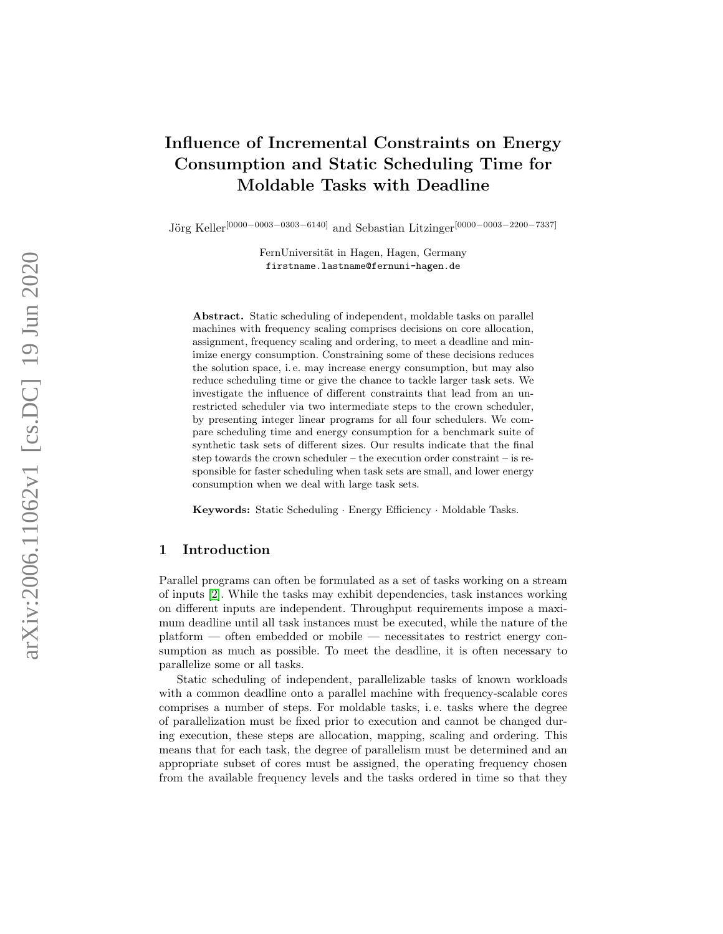# Influence of Incremental Constraints on Energy Consumption and Static Scheduling Time for Moldable Tasks with Deadline

Jörg Keller<sup>[0000–0003–0303–6140]</sup> and Sebastian Litzinger<sup>[0000–0003–2200–7337]</sup>

FernUniversität in Hagen, Hagen, Germany firstname.lastname@fernuni-hagen.de

Abstract. Static scheduling of independent, moldable tasks on parallel machines with frequency scaling comprises decisions on core allocation, assignment, frequency scaling and ordering, to meet a deadline and minimize energy consumption. Constraining some of these decisions reduces the solution space, i. e. may increase energy consumption, but may also reduce scheduling time or give the chance to tackle larger task sets. We investigate the influence of different constraints that lead from an unrestricted scheduler via two intermediate steps to the crown scheduler, by presenting integer linear programs for all four schedulers. We compare scheduling time and energy consumption for a benchmark suite of synthetic task sets of different sizes. Our results indicate that the final step towards the crown scheduler – the execution order constraint – is responsible for faster scheduling when task sets are small, and lower energy consumption when we deal with large task sets.

Keywords: Static Scheduling · Energy Efficiency · Moldable Tasks.

## <span id="page-0-0"></span>1 Introduction

Parallel programs can often be formulated as a set of tasks working on a stream of inputs [\[2\]](#page-12-0). While the tasks may exhibit dependencies, task instances working on different inputs are independent. Throughput requirements impose a maximum deadline until all task instances must be executed, while the nature of the platform — often embedded or mobile — necessitates to restrict energy consumption as much as possible. To meet the deadline, it is often necessary to parallelize some or all tasks.

Static scheduling of independent, parallelizable tasks of known workloads with a common deadline onto a parallel machine with frequency-scalable cores comprises a number of steps. For moldable tasks, i. e. tasks where the degree of parallelization must be fixed prior to execution and cannot be changed during execution, these steps are allocation, mapping, scaling and ordering. This means that for each task, the degree of parallelism must be determined and an appropriate subset of cores must be assigned, the operating frequency chosen from the available frequency levels and the tasks ordered in time so that they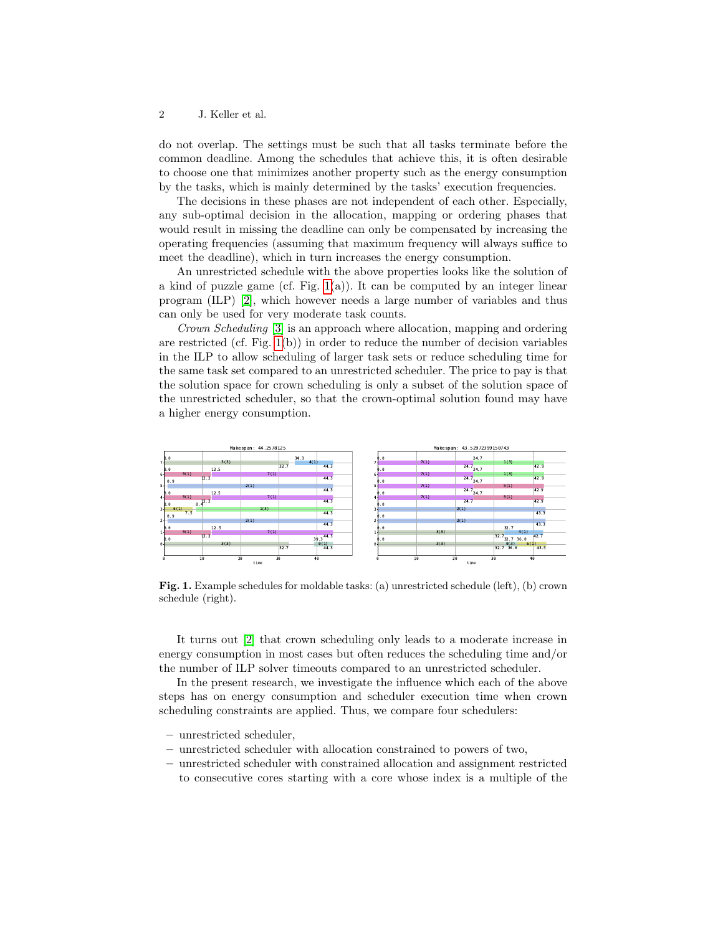do not overlap. The settings must be such that all tasks terminate before the common deadline. Among the schedules that achieve this, it is often desirable to choose one that minimizes another property such as the energy consumption by the tasks, which is mainly determined by the tasks' execution frequencies.

The decisions in these phases are not independent of each other. Especially, any sub-optimal decision in the allocation, mapping or ordering phases that would result in missing the deadline can only be compensated by increasing the operating frequencies (assuming that maximum frequency will always suffice to meet the deadline), which in turn increases the energy consumption.

An unrestricted schedule with the above properties looks like the solution of a kind of puzzle game (cf. Fig.  $1(a)$ ). It can be computed by an integer linear program (ILP) [\[2\]](#page-12-0), which however needs a large number of variables and thus can only be used for very moderate task counts.

Crown Scheduling [\[3\]](#page-12-1) is an approach where allocation, mapping and ordering are restricted (cf. Fig. [1\(](#page-1-0)b)) in order to reduce the number of decision variables in the ILP to allow scheduling of larger task sets or reduce scheduling time for the same task set compared to an unrestricted scheduler. The price to pay is that the solution space for crown scheduling is only a subset of the solution space of the unrestricted scheduler, so that the crown-optimal solution found may have a higher energy consumption.



<span id="page-1-0"></span>Fig. 1. Example schedules for moldable tasks: (a) unrestricted schedule (left), (b) crown schedule (right).

It turns out [\[2\]](#page-12-0) that crown scheduling only leads to a moderate increase in energy consumption in most cases but often reduces the scheduling time and/or the number of ILP solver timeouts compared to an unrestricted scheduler.

In the present research, we investigate the influence which each of the above steps has on energy consumption and scheduler execution time when crown scheduling constraints are applied. Thus, we compare four schedulers:

- unrestricted scheduler,
- unrestricted scheduler with allocation constrained to powers of two,
- unrestricted scheduler with constrained allocation and assignment restricted to consecutive cores starting with a core whose index is a multiple of the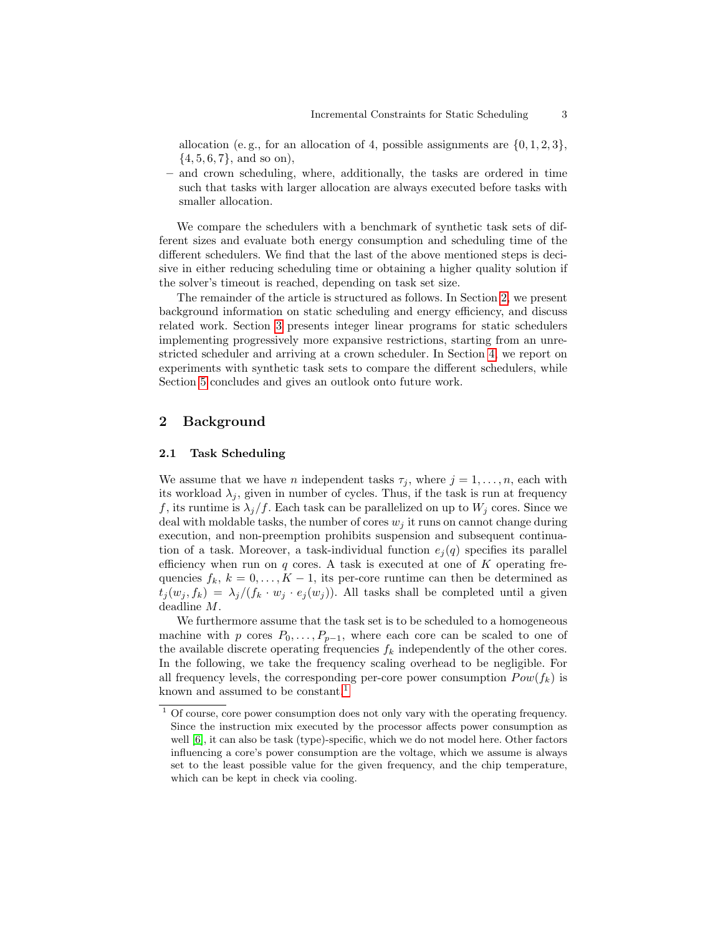allocation (e.g., for an allocation of 4, possible assignments are  $\{0, 1, 2, 3\}$ ,  $\{4, 5, 6, 7\}$ , and so on),

– and crown scheduling, where, additionally, the tasks are ordered in time such that tasks with larger allocation are always executed before tasks with smaller allocation.

We compare the schedulers with a benchmark of synthetic task sets of different sizes and evaluate both energy consumption and scheduling time of the different schedulers. We find that the last of the above mentioned steps is decisive in either reducing scheduling time or obtaining a higher quality solution if the solver's timeout is reached, depending on task set size.

The remainder of the article is structured as follows. In Section [2,](#page-2-0) we present background information on static scheduling and energy efficiency, and discuss related work. Section [3](#page-4-0) presents integer linear programs for static schedulers implementing progressively more expansive restrictions, starting from an unrestricted scheduler and arriving at a crown scheduler. In Section [4,](#page-6-0) we report on experiments with synthetic task sets to compare the different schedulers, while Section [5](#page-11-0) concludes and gives an outlook onto future work.

## <span id="page-2-0"></span>2 Background

#### 2.1 Task Scheduling

We assume that we have *n* independent tasks  $\tau_j$ , where  $j = 1, \ldots, n$ , each with its workload  $\lambda_i$ , given in number of cycles. Thus, if the task is run at frequency f, its runtime is  $\lambda_i/f$ . Each task can be parallelized on up to  $W_i$  cores. Since we deal with moldable tasks, the number of cores  $w_i$  it runs on cannot change during execution, and non-preemption prohibits suspension and subsequent continuation of a task. Moreover, a task-individual function  $e_i(q)$  specifies its parallel efficiency when run on  $q$  cores. A task is executed at one of  $K$  operating frequencies  $f_k$ ,  $k = 0, \ldots, K - 1$ , its per-core runtime can then be determined as  $t_i(w_j, f_k) = \lambda_j/(f_k \cdot w_j \cdot e_j(w_j))$ . All tasks shall be completed until a given deadline M.

We furthermore assume that the task set is to be scheduled to a homogeneous machine with p cores  $P_0, \ldots, P_{p-1}$ , where each core can be scaled to one of the available discrete operating frequencies  $f_k$  independently of the other cores. In the following, we take the frequency scaling overhead to be negligible. For all frequency levels, the corresponding per-core power consumption  $Pow(f_k)$  is known and assumed to be constant.<sup>[1](#page-2-1)</sup>

<span id="page-2-1"></span> $1$  Of course, core power consumption does not only vary with the operating frequency. Since the instruction mix executed by the processor affects power consumption as well [\[6\]](#page-12-2), it can also be task (type)-specific, which we do not model here. Other factors influencing a core's power consumption are the voltage, which we assume is always set to the least possible value for the given frequency, and the chip temperature, which can be kept in check via cooling.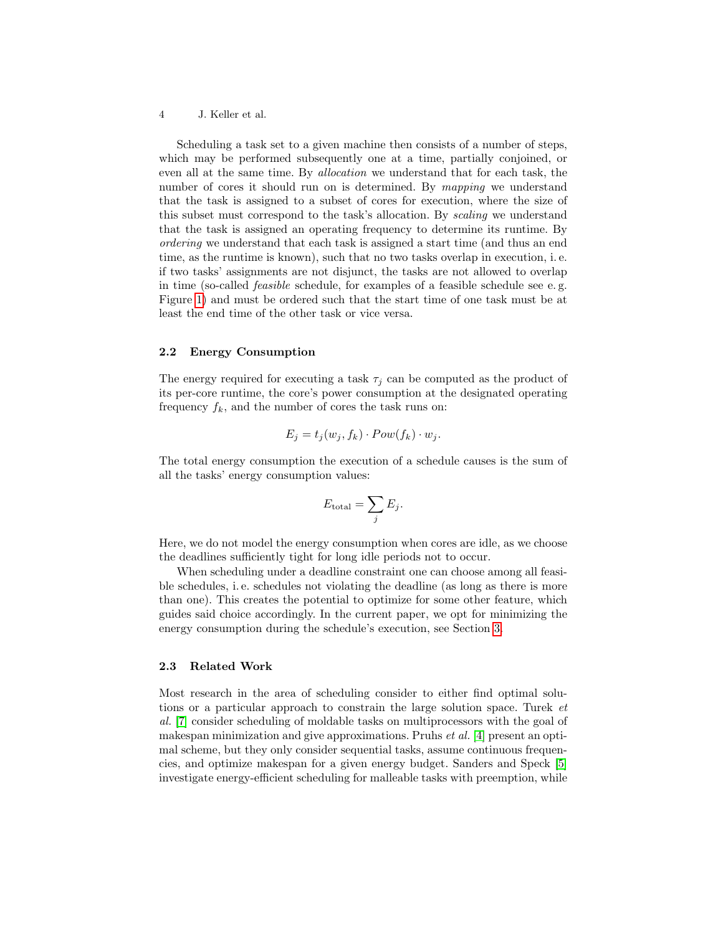Scheduling a task set to a given machine then consists of a number of steps, which may be performed subsequently one at a time, partially conjoined, or even all at the same time. By allocation we understand that for each task, the number of cores it should run on is determined. By mapping we understand that the task is assigned to a subset of cores for execution, where the size of this subset must correspond to the task's allocation. By scaling we understand that the task is assigned an operating frequency to determine its runtime. By ordering we understand that each task is assigned a start time (and thus an end time, as the runtime is known), such that no two tasks overlap in execution, i. e. if two tasks' assignments are not disjunct, the tasks are not allowed to overlap in time (so-called feasible schedule, for examples of a feasible schedule see e. g. Figure [1\)](#page-1-0) and must be ordered such that the start time of one task must be at least the end time of the other task or vice versa.

## 2.2 Energy Consumption

The energy required for executing a task  $\tau_j$  can be computed as the product of its per-core runtime, the core's power consumption at the designated operating frequency  $f_k$ , and the number of cores the task runs on:

$$
E_j = t_j(w_j, f_k) \cdot Pow(f_k) \cdot w_j.
$$

The total energy consumption the execution of a schedule causes is the sum of all the tasks' energy consumption values:

$$
E_{\text{total}} = \sum_{j} E_j.
$$

Here, we do not model the energy consumption when cores are idle, as we choose the deadlines sufficiently tight for long idle periods not to occur.

When scheduling under a deadline constraint one can choose among all feasible schedules, i. e. schedules not violating the deadline (as long as there is more than one). This creates the potential to optimize for some other feature, which guides said choice accordingly. In the current paper, we opt for minimizing the energy consumption during the schedule's execution, see Section [3.](#page-4-0)

## 2.3 Related Work

Most research in the area of scheduling consider to either find optimal solutions or a particular approach to constrain the large solution space. Turek et al. [\[7\]](#page-12-3) consider scheduling of moldable tasks on multiprocessors with the goal of makespan minimization and give approximations. Pruhs et al. [\[4\]](#page-12-4) present an optimal scheme, but they only consider sequential tasks, assume continuous frequencies, and optimize makespan for a given energy budget. Sanders and Speck [\[5\]](#page-12-5) investigate energy-efficient scheduling for malleable tasks with preemption, while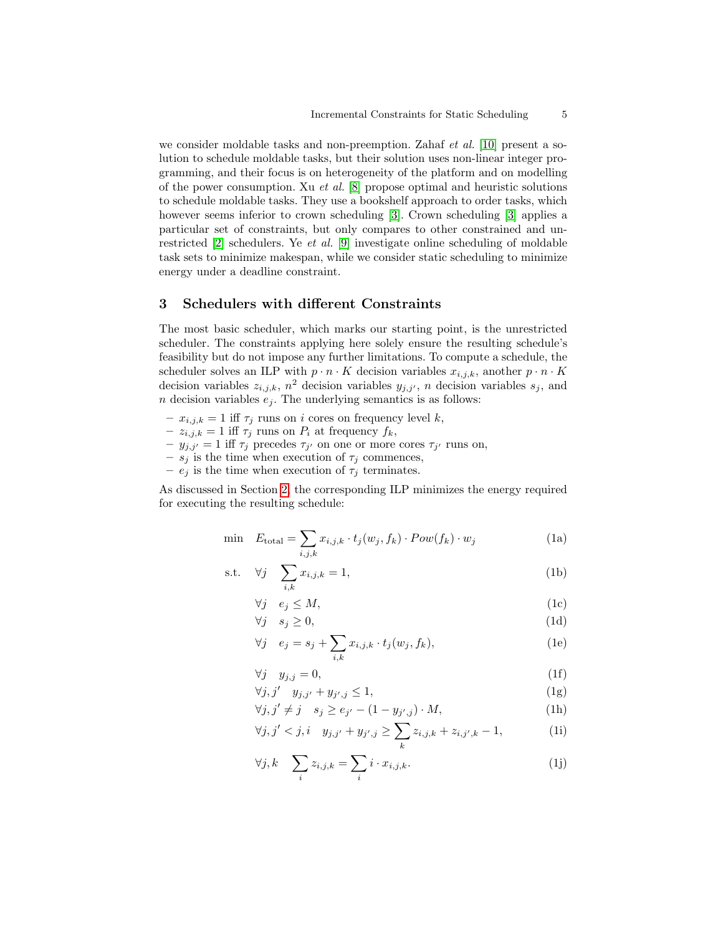we consider moldable tasks and non-preemption. Zahaf *et al.* [\[10\]](#page-12-6) present a solution to schedule moldable tasks, but their solution uses non-linear integer programming, and their focus is on heterogeneity of the platform and on modelling of the power consumption. Xu et al. [\[8\]](#page-12-7) propose optimal and heuristic solutions to schedule moldable tasks. They use a bookshelf approach to order tasks, which however seems inferior to crown scheduling [\[3\]](#page-12-1). Crown scheduling [3] applies a particular set of constraints, but only compares to other constrained and unrestricted [\[2\]](#page-12-0) schedulers. Ye et al. [\[9\]](#page-12-8) investigate online scheduling of moldable task sets to minimize makespan, while we consider static scheduling to minimize energy under a deadline constraint.

## <span id="page-4-0"></span>3 Schedulers with different Constraints

The most basic scheduler, which marks our starting point, is the unrestricted scheduler. The constraints applying here solely ensure the resulting schedule's feasibility but do not impose any further limitations. To compute a schedule, the scheduler solves an ILP with  $p \cdot n \cdot K$  decision variables  $x_{i,j,k}$ , another  $p \cdot n \cdot K$ decision variables  $z_{i,j,k}$ ,  $n^2$  decision variables  $y_{j,j'}$ , n decision variables  $s_j$ , and n decision variables  $e_j$ . The underlying semantics is as follows:

- $x_{i,j,k} = 1$  iff  $\tau_j$  runs on i cores on frequency level k,
- $-z_{i,j,k} = 1$  iff  $\tau_j$  runs on  $P_i$  at frequency  $f_k$ ,
- $-y_{j,j'} = 1$  iff  $\tau_j$  precedes  $\tau_{j'}$  on one or more cores  $\tau_{j'}$  runs on,
- $s_j$  is the time when execution of  $\tau_j$  commences,
- $e_j$  is the time when execution of  $\tau_j$  terminates.

As discussed in Section [2,](#page-2-0) the corresponding ILP minimizes the energy required for executing the resulting schedule:

$$
\min \quad E_{\text{total}} = \sum_{i,j,k} x_{i,j,k} \cdot t_j(w_j, f_k) \cdot Pow(f_k) \cdot w_j \tag{1a}
$$

$$
\text{s.t.} \quad \forall j \quad \sum_{i,k} x_{i,j,k} = 1,\tag{1b}
$$

<span id="page-4-2"></span><span id="page-4-1"></span>
$$
\forall j \quad e_j \le M,\tag{1c}
$$

$$
\forall j \quad s_j \ge 0,\tag{1d}
$$

<span id="page-4-4"></span><span id="page-4-3"></span>
$$
\forall j \quad e_j = s_j + \sum_{i,k} x_{i,j,k} \cdot t_j(w_j, f_k), \tag{1e}
$$

<span id="page-4-6"></span><span id="page-4-5"></span>
$$
\forall j \quad y_{j,j} = 0,\tag{1f}
$$

$$
\forall j, j' \quad y_{j,j'} + y_{j',j} \le 1,\tag{1g}
$$

<span id="page-4-8"></span><span id="page-4-7"></span>
$$
\forall j, j' \neq j \quad s_j \geq e_{j'} - (1 - y_{j',j}) \cdot M,\tag{1h}
$$

$$
\forall j, j' < j, i \quad y_{j,j'} + y_{j',j} \ge \sum_{k} z_{i,j,k} + z_{i,j',k} - 1,\tag{11}
$$

<span id="page-4-9"></span>
$$
\forall j, k \quad \sum_{i} z_{i,j,k} = \sum_{i} i \cdot x_{i,j,k}.
$$
 (1j)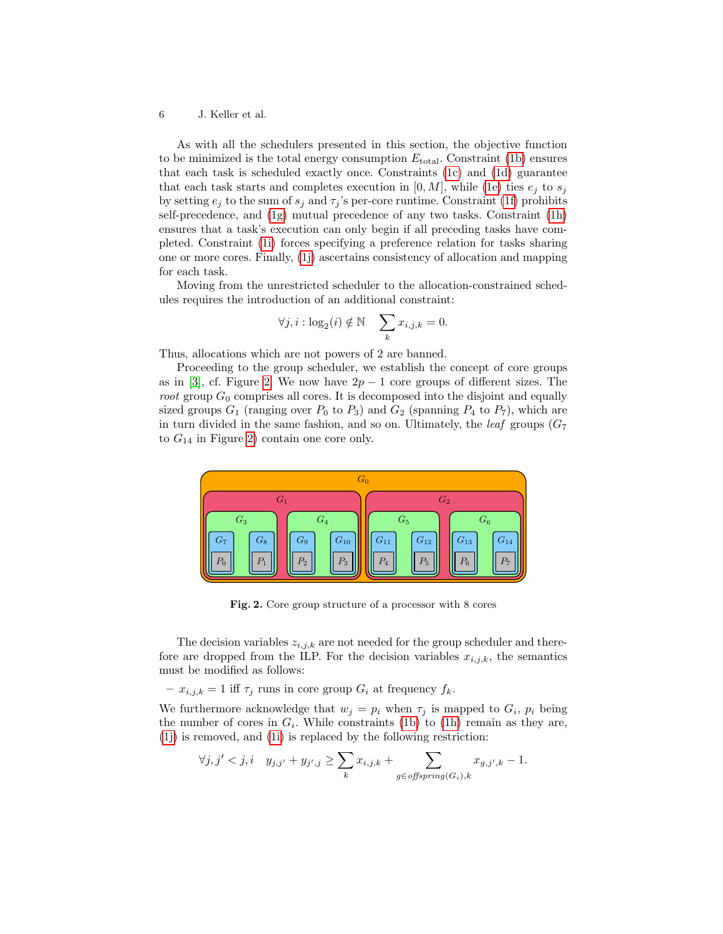As with all the schedulers presented in this section, the objective function to be minimized is the total energy consumption  $E_{total}$ . Constraint [\(1b\)](#page-4-1) ensures that each task is scheduled exactly once. Constraints [\(1c\)](#page-4-2) and [\(1d\)](#page-4-3) guarantee that each task starts and completes execution in  $[0, M]$ , while [\(1e\)](#page-4-4) ties  $e_i$  to  $s_j$ by setting  $e_j$  to the sum of  $s_j$  and  $\tau_j$ 's per-core runtime. Constraint [\(1f\)](#page-4-5) prohibits self-precedence, and [\(1g\)](#page-4-6) mutual precedence of any two tasks. Constraint [\(1h\)](#page-4-7) ensures that a task's execution can only begin if all preceding tasks have completed. Constraint [\(1i\)](#page-4-8) forces specifying a preference relation for tasks sharing one or more cores. Finally, [\(1j\)](#page-4-9) ascertains consistency of allocation and mapping for each task.

Moving from the unrestricted scheduler to the allocation-constrained schedules requires the introduction of an additional constraint:

$$
\forall j, i : \log_2(i) \notin \mathbb{N} \quad \sum_k x_{i,j,k} = 0.
$$

Thus, allocations which are not powers of 2 are banned.

Proceeding to the group scheduler, we establish the concept of core groups as in [\[3\]](#page-12-1), cf. Figure [2.](#page-5-0) We now have  $2p-1$  core groups of different sizes. The root group  $G_0$  comprises all cores. It is decomposed into the disjoint and equally sized groups  $G_1$  (ranging over  $P_0$  to  $P_3$ ) and  $G_2$  (spanning  $P_4$  to  $P_7$ ), which are in turn divided in the same fashion, and so on. Ultimately, the *leaf* groups  $(G_7)$ to  $G_{14}$  in Figure [2\)](#page-5-0) contain one core only.



<span id="page-5-0"></span>Fig. 2. Core group structure of a processor with 8 cores

The decision variables  $z_{i,j,k}$  are not needed for the group scheduler and therefore are dropped from the ILP. For the decision variables  $x_{i,i,k}$ , the semantics must be modified as follows:

 $- x_{i,j,k} = 1$  iff  $\tau_j$  runs in core group  $G_i$  at frequency  $f_k$ .

We furthermore acknowledge that  $w_j = p_i$  when  $\tau_j$  is mapped to  $G_i$ ,  $p_i$  being the number of cores in  $G_i$ . While constraints [\(1b\)](#page-4-1) to [\(1h\)](#page-4-7) remain as they are, [\(1j\)](#page-4-9) is removed, and [\(1i\)](#page-4-8) is replaced by the following restriction:

$$
\forall j, j' < j, i \quad y_{j,j'} + y_{j',j} \ge \sum_{k} x_{i,j,k} + \sum_{g \in \text{offspring}(G_i), k} x_{g,j',k} - 1.
$$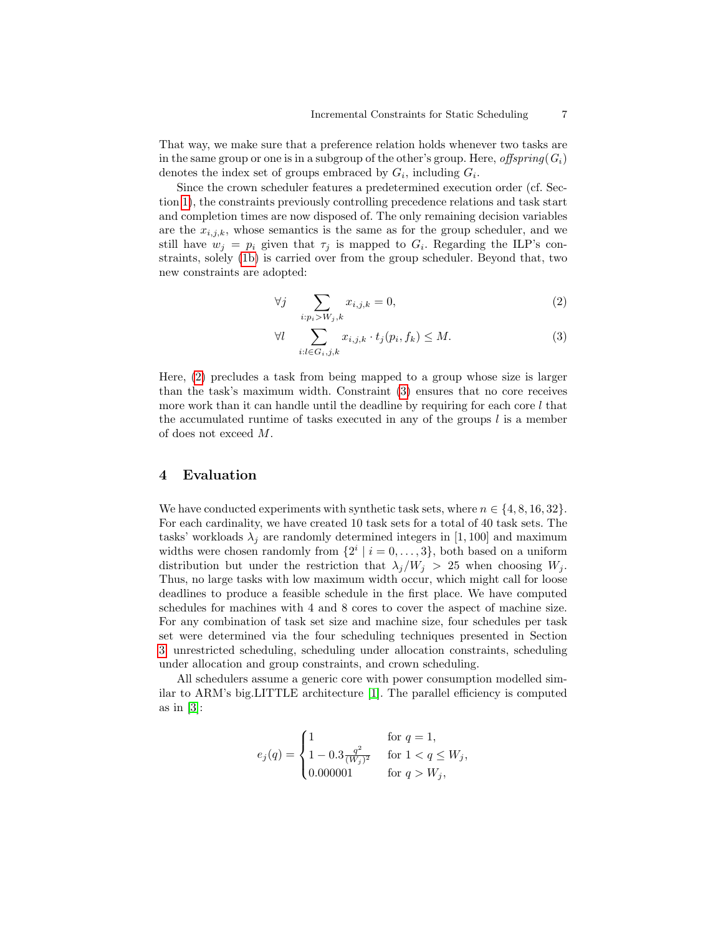That way, we make sure that a preference relation holds whenever two tasks are in the same group or one is in a subgroup of the other's group. Here, offspring( $G_i$ ) denotes the index set of groups embraced by  $G_i$ , including  $G_i$ .

Since the crown scheduler features a predetermined execution order (cf. Section [1\)](#page-0-0), the constraints previously controlling precedence relations and task start and completion times are now disposed of. The only remaining decision variables are the  $x_{i,j,k}$ , whose semantics is the same as for the group scheduler, and we still have  $w_j = p_i$  given that  $\tau_j$  is mapped to  $G_i$ . Regarding the ILP's constraints, solely [\(1b\)](#page-4-1) is carried over from the group scheduler. Beyond that, two new constraints are adopted:

<span id="page-6-1"></span>
$$
\forall j \quad \sum_{i:p_i > W_j,k} x_{i,j,k} = 0,\tag{2}
$$

<span id="page-6-2"></span>
$$
\forall l \quad \sum_{i:l \in G_i, j,k} x_{i,j,k} \cdot t_j(p_i, f_k) \le M. \tag{3}
$$

Here, [\(2\)](#page-6-1) precludes a task from being mapped to a group whose size is larger than the task's maximum width. Constraint [\(3\)](#page-6-2) ensures that no core receives more work than it can handle until the deadline by requiring for each core  $l$  that the accumulated runtime of tasks executed in any of the groups  $l$  is a member of does not exceed M.

## <span id="page-6-0"></span>4 Evaluation

We have conducted experiments with synthetic task sets, where  $n \in \{4, 8, 16, 32\}.$ For each cardinality, we have created 10 task sets for a total of 40 task sets. The tasks' workloads  $\lambda_i$  are randomly determined integers in [1, 100] and maximum widths were chosen randomly from  $\{2^i \mid i = 0, \ldots, 3\}$ , both based on a uniform distribution but under the restriction that  $\lambda_j/W_j > 25$  when choosing  $W_j$ . Thus, no large tasks with low maximum width occur, which might call for loose deadlines to produce a feasible schedule in the first place. We have computed schedules for machines with 4 and 8 cores to cover the aspect of machine size. For any combination of task set size and machine size, four schedules per task set were determined via the four scheduling techniques presented in Section [3:](#page-4-0) unrestricted scheduling, scheduling under allocation constraints, scheduling under allocation and group constraints, and crown scheduling.

All schedulers assume a generic core with power consumption modelled similar to ARM's big.LITTLE architecture [\[1\]](#page-12-9). The parallel efficiency is computed as in  $[3]$ :

$$
e_j(q) = \begin{cases} 1 & \text{for } q = 1, \\ 1 - 0.3 \frac{q^2}{(W_j)^2} & \text{for } 1 < q \le W_j, \\ 0.000001 & \text{for } q > W_j, \end{cases}
$$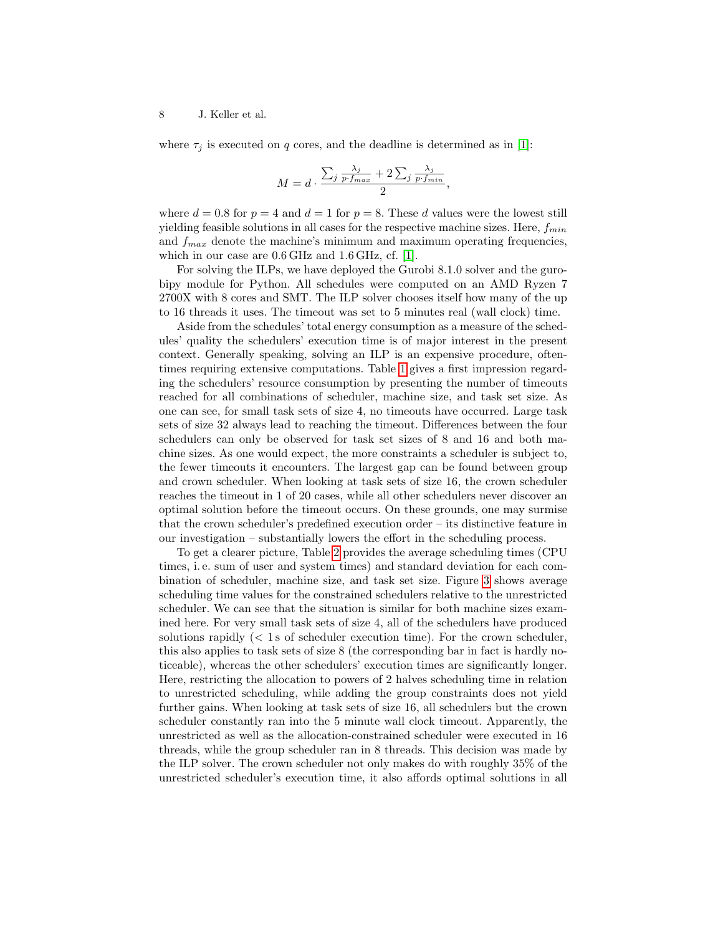where  $\tau_i$  is executed on q cores, and the deadline is determined as in [\[1\]](#page-12-9):

$$
M = d \cdot \frac{\sum_{j} \frac{\lambda_j}{p \cdot f_{max}} + 2 \sum_{j} \frac{\lambda_j}{p \cdot f_{min}}}{2},
$$

where  $d = 0.8$  for  $p = 4$  and  $d = 1$  for  $p = 8$ . These d values were the lowest still yielding feasible solutions in all cases for the respective machine sizes. Here,  $f_{min}$ and  $f_{max}$  denote the machine's minimum and maximum operating frequencies, which in our case are 0.6 GHz and 1.6 GHz, cf. [\[1\]](#page-12-9).

For solving the ILPs, we have deployed the Gurobi 8.1.0 solver and the gurobipy module for Python. All schedules were computed on an AMD Ryzen 7 2700X with 8 cores and SMT. The ILP solver chooses itself how many of the up to 16 threads it uses. The timeout was set to 5 minutes real (wall clock) time.

Aside from the schedules' total energy consumption as a measure of the schedules' quality the schedulers' execution time is of major interest in the present context. Generally speaking, solving an ILP is an expensive procedure, oftentimes requiring extensive computations. Table [1](#page-8-0) gives a first impression regarding the schedulers' resource consumption by presenting the number of timeouts reached for all combinations of scheduler, machine size, and task set size. As one can see, for small task sets of size 4, no timeouts have occurred. Large task sets of size 32 always lead to reaching the timeout. Differences between the four schedulers can only be observed for task set sizes of 8 and 16 and both machine sizes. As one would expect, the more constraints a scheduler is subject to, the fewer timeouts it encounters. The largest gap can be found between group and crown scheduler. When looking at task sets of size 16, the crown scheduler reaches the timeout in 1 of 20 cases, while all other schedulers never discover an optimal solution before the timeout occurs. On these grounds, one may surmise that the crown scheduler's predefined execution order – its distinctive feature in our investigation – substantially lowers the effort in the scheduling process.

To get a clearer picture, Table [2](#page-9-0) provides the average scheduling times (CPU times, i. e. sum of user and system times) and standard deviation for each combination of scheduler, machine size, and task set size. Figure [3](#page-9-1) shows average scheduling time values for the constrained schedulers relative to the unrestricted scheduler. We can see that the situation is similar for both machine sizes examined here. For very small task sets of size 4, all of the schedulers have produced solutions rapidly (< 1 s of scheduler execution time). For the crown scheduler, this also applies to task sets of size 8 (the corresponding bar in fact is hardly noticeable), whereas the other schedulers' execution times are significantly longer. Here, restricting the allocation to powers of 2 halves scheduling time in relation to unrestricted scheduling, while adding the group constraints does not yield further gains. When looking at task sets of size 16, all schedulers but the crown scheduler constantly ran into the 5 minute wall clock timeout. Apparently, the unrestricted as well as the allocation-constrained scheduler were executed in 16 threads, while the group scheduler ran in 8 threads. This decision was made by the ILP solver. The crown scheduler not only makes do with roughly 35% of the unrestricted scheduler's execution time, it also affords optimal solutions in all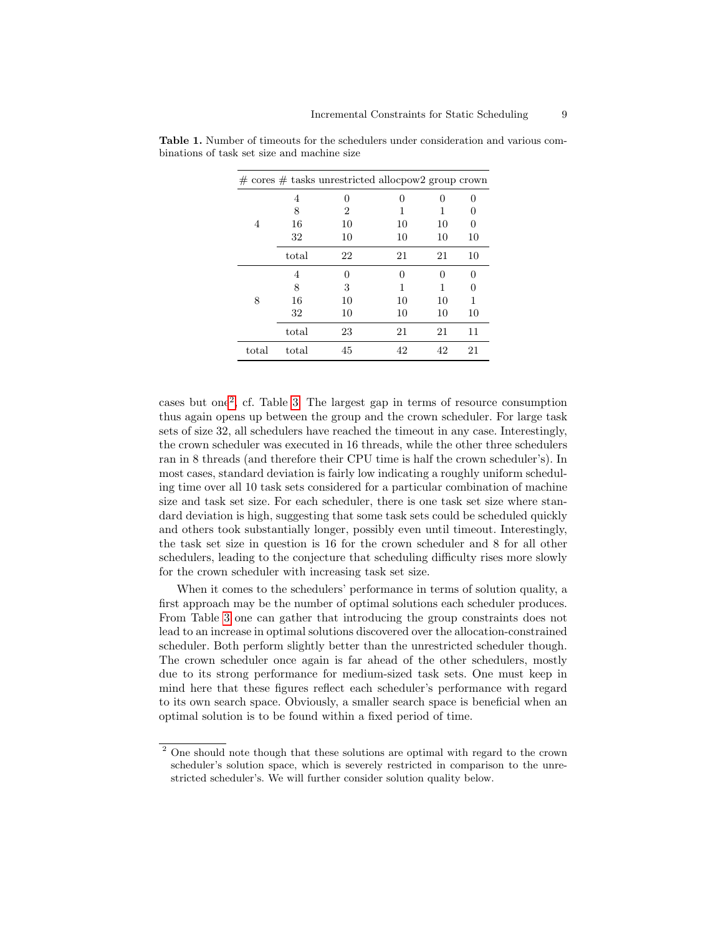|       |       | $\#$ cores $\#$ tasks unrestricted allocpow2 group crown |              |    |              |
|-------|-------|----------------------------------------------------------|--------------|----|--------------|
|       | 4     | 0                                                        | $\mathbf{0}$ | ∩  |              |
|       | 8     | 2                                                        | 1            | 1  | $\mathbf{0}$ |
| 4     | 16    | 10                                                       | 10           | 10 |              |
|       | 32    | 10                                                       | 10           | 10 | 10           |
|       | total | 22                                                       | 21           | 21 | 10           |
| 8     | 4     | $\theta$                                                 | $\mathbf{0}$ | 0  |              |
|       | 8     | 3                                                        | 1            | 1  | 0            |
|       | 16    | 10                                                       | 10           | 10 | 1            |
|       | 32    | 10                                                       | 10           | 10 | 10           |
|       | total | 23                                                       | 21           | 21 | 11           |
| total | total | 45                                                       | 42           | 42 | 21           |

<span id="page-8-0"></span>Table 1. Number of timeouts for the schedulers under consideration and various combinations of task set size and machine size

cases but one[2](#page-8-1) , cf. Table [3.](#page-10-0) The largest gap in terms of resource consumption thus again opens up between the group and the crown scheduler. For large task sets of size 32, all schedulers have reached the timeout in any case. Interestingly, the crown scheduler was executed in 16 threads, while the other three schedulers ran in 8 threads (and therefore their CPU time is half the crown scheduler's). In most cases, standard deviation is fairly low indicating a roughly uniform scheduling time over all 10 task sets considered for a particular combination of machine size and task set size. For each scheduler, there is one task set size where standard deviation is high, suggesting that some task sets could be scheduled quickly and others took substantially longer, possibly even until timeout. Interestingly, the task set size in question is 16 for the crown scheduler and 8 for all other schedulers, leading to the conjecture that scheduling difficulty rises more slowly for the crown scheduler with increasing task set size.

When it comes to the schedulers' performance in terms of solution quality, a first approach may be the number of optimal solutions each scheduler produces. From Table [3](#page-10-0) one can gather that introducing the group constraints does not lead to an increase in optimal solutions discovered over the allocation-constrained scheduler. Both perform slightly better than the unrestricted scheduler though. The crown scheduler once again is far ahead of the other schedulers, mostly due to its strong performance for medium-sized task sets. One must keep in mind here that these figures reflect each scheduler's performance with regard to its own search space. Obviously, a smaller search space is beneficial when an optimal solution is to be found within a fixed period of time.

<span id="page-8-1"></span><sup>&</sup>lt;sup>2</sup> One should note though that these solutions are optimal with regard to the crown scheduler's solution space, which is severely restricted in comparison to the unrestricted scheduler's. We will further consider solution quality below.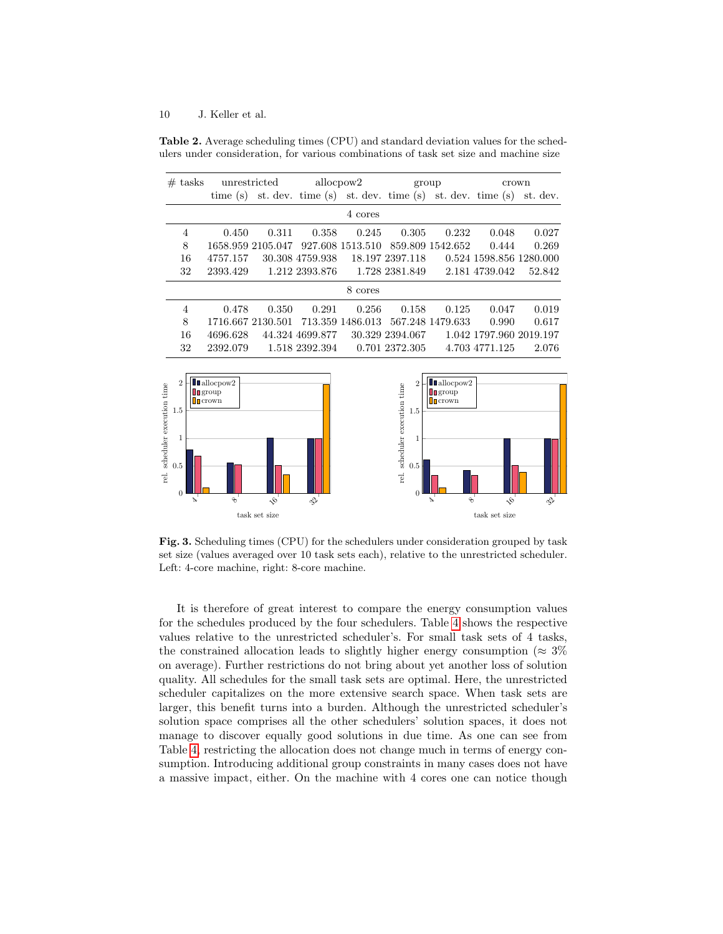<span id="page-9-0"></span>Table 2. Average scheduling times (CPU) and standard deviation values for the schedulers under consideration, for various combinations of task set size and machine size

| $#$ tasks      | unrestricted |                                                                        | allocpow2       |                  |                 | group            | crown                   |          |  |  |
|----------------|--------------|------------------------------------------------------------------------|-----------------|------------------|-----------------|------------------|-------------------------|----------|--|--|
|                |              | time $(s)$ st. dev. time $(s)$ st. dev. time $(s)$ st. dev. time $(s)$ |                 |                  |                 |                  |                         | st. dev. |  |  |
| 4 cores        |              |                                                                        |                 |                  |                 |                  |                         |          |  |  |
| $\overline{4}$ | 0.450        | 0.311                                                                  | 0.358           | 0.245            | 0.305           | 0.232            | 0.048                   | 0.027    |  |  |
| 8              |              | 1658.959 2105.047                                                      |                 | 927.608 1513.510 |                 | 859.809 1542.652 | 0.444                   | 0.269    |  |  |
| 16             | 4757.157     |                                                                        | 30.308 4759.938 |                  | 18.197 2397.118 |                  | 0.524 1598.856 1280.000 |          |  |  |
| 32             | 2393.429     |                                                                        | 1.212 2393.876  |                  | 1.728 2381.849  |                  | 2.181 4739.042          | 52.842   |  |  |
| 8 cores        |              |                                                                        |                 |                  |                 |                  |                         |          |  |  |
| 4              | 0.478        | 0.350                                                                  | 0.291           | 0.256            | 0.158           | 0.125            | 0.047                   | 0.019    |  |  |
| 8              |              | 1716.667 2130.501                                                      |                 | 713.359 1486.013 |                 | 567.248 1479.633 | 0.990                   | 0.617    |  |  |
| 16             | 4696.628     |                                                                        | 44.324 4699.877 |                  | 30.329 2394.067 |                  | 1.042 1797.960 2019.197 |          |  |  |
| 32             | 2392.079     |                                                                        | 1.518 2392.394  |                  | 0.701 2372.305  |                  | 4.703 4771.125          | 2.076    |  |  |
|                |              |                                                                        |                 |                  |                 |                  |                         |          |  |  |



<span id="page-9-1"></span>Fig. 3. Scheduling times (CPU) for the schedulers under consideration grouped by task set size (values averaged over 10 task sets each), relative to the unrestricted scheduler. Left: 4-core machine, right: 8-core machine.

It is therefore of great interest to compare the energy consumption values for the schedules produced by the four schedulers. Table [4](#page-11-1) shows the respective values relative to the unrestricted scheduler's. For small task sets of 4 tasks, the constrained allocation leads to slightly higher energy consumption ( $\approx 3\%$ ) on average). Further restrictions do not bring about yet another loss of solution quality. All schedules for the small task sets are optimal. Here, the unrestricted scheduler capitalizes on the more extensive search space. When task sets are larger, this benefit turns into a burden. Although the unrestricted scheduler's solution space comprises all the other schedulers' solution spaces, it does not manage to discover equally good solutions in due time. As one can see from Table [4,](#page-11-1) restricting the allocation does not change much in terms of energy consumption. Introducing additional group constraints in many cases does not have a massive impact, either. On the machine with 4 cores one can notice though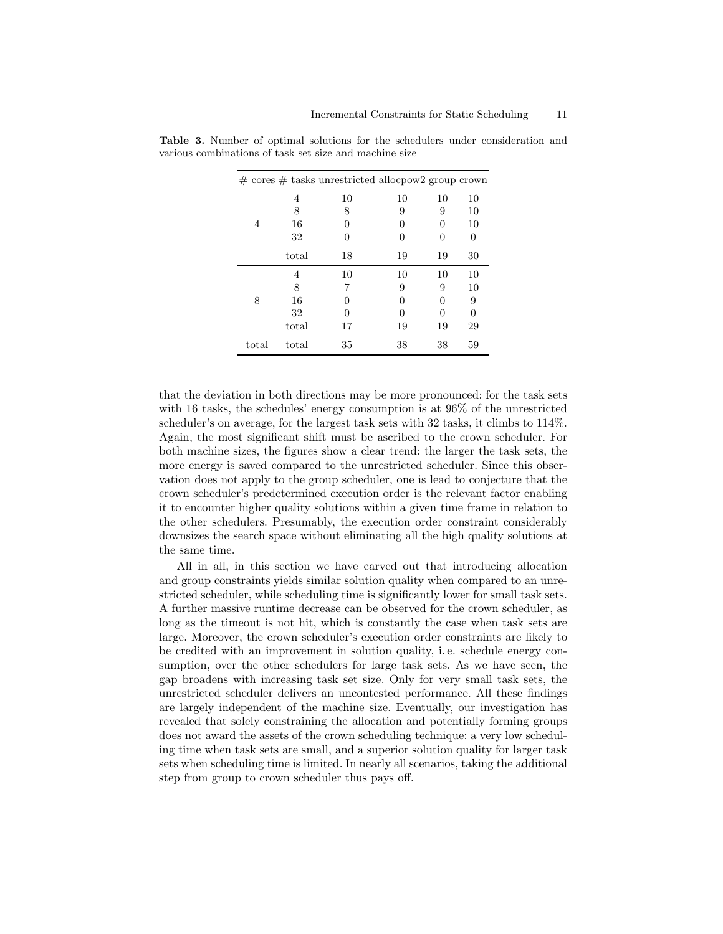|       |       | $\#$ cores $\#$ tasks unrestricted allocpow2 group crown |                  |              |    |
|-------|-------|----------------------------------------------------------|------------------|--------------|----|
|       | 4     | 10                                                       | 10               | 10           | 10 |
|       | 8     | 8                                                        | 9                | 9            | 10 |
| 4     | 16    |                                                          |                  | $\mathbf{0}$ | 10 |
|       | 32    |                                                          | $\mathbf{0}$     |              |    |
|       | total | 18                                                       | 19               | 19           | 30 |
| 8     | 4     | 10                                                       | 10               | 10           | 10 |
|       | 8     |                                                          | 9                | 9            | 10 |
|       | 16    |                                                          | $\left( \right)$ | $\mathbf{0}$ | 9  |
|       | 32    | 0                                                        | $\left( \right)$ | 0            |    |
|       | total | 17                                                       | 19               | 19           | 29 |
| total | total | 35                                                       | 38               | 38           | 59 |

<span id="page-10-0"></span>Table 3. Number of optimal solutions for the schedulers under consideration and various combinations of task set size and machine size

that the deviation in both directions may be more pronounced: for the task sets with 16 tasks, the schedules' energy consumption is at 96% of the unrestricted scheduler's on average, for the largest task sets with 32 tasks, it climbs to 114%. Again, the most significant shift must be ascribed to the crown scheduler. For both machine sizes, the figures show a clear trend: the larger the task sets, the more energy is saved compared to the unrestricted scheduler. Since this observation does not apply to the group scheduler, one is lead to conjecture that the crown scheduler's predetermined execution order is the relevant factor enabling it to encounter higher quality solutions within a given time frame in relation to the other schedulers. Presumably, the execution order constraint considerably downsizes the search space without eliminating all the high quality solutions at the same time.

All in all, in this section we have carved out that introducing allocation and group constraints yields similar solution quality when compared to an unrestricted scheduler, while scheduling time is significantly lower for small task sets. A further massive runtime decrease can be observed for the crown scheduler, as long as the timeout is not hit, which is constantly the case when task sets are large. Moreover, the crown scheduler's execution order constraints are likely to be credited with an improvement in solution quality, i. e. schedule energy consumption, over the other schedulers for large task sets. As we have seen, the gap broadens with increasing task set size. Only for very small task sets, the unrestricted scheduler delivers an uncontested performance. All these findings are largely independent of the machine size. Eventually, our investigation has revealed that solely constraining the allocation and potentially forming groups does not award the assets of the crown scheduling technique: a very low scheduling time when task sets are small, and a superior solution quality for larger task sets when scheduling time is limited. In nearly all scenarios, taking the additional step from group to crown scheduler thus pays off.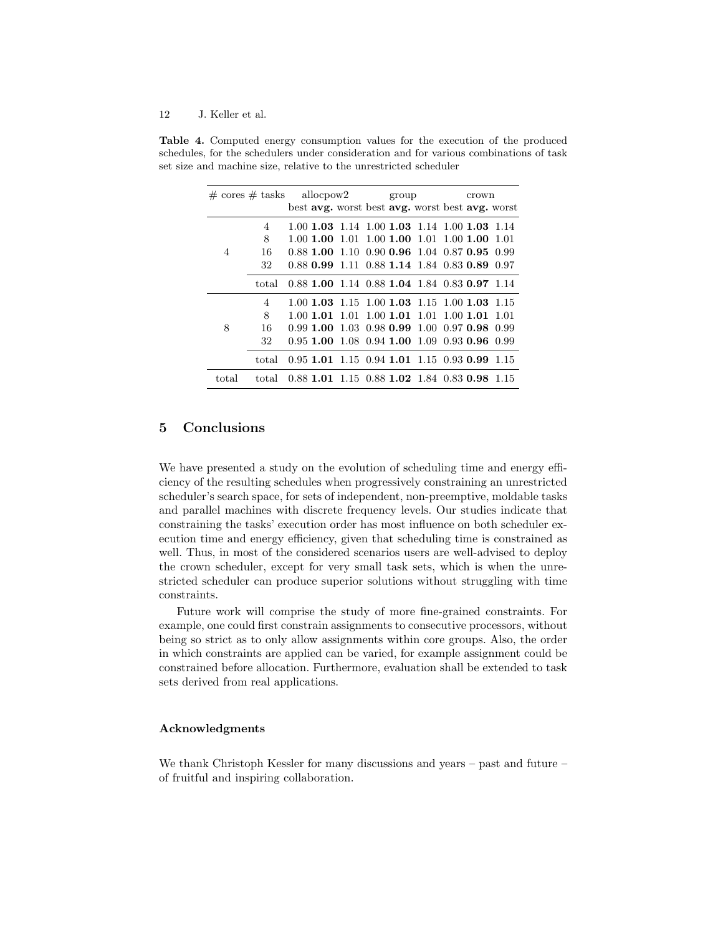|                | $\# \text{ cores } \# \text{ tasks } \text{ allow}$ |  |           | group              |  |  | crown                                             |  |  |       |
|----------------|-----------------------------------------------------|--|-----------|--------------------|--|--|---------------------------------------------------|--|--|-------|
|                |                                                     |  |           |                    |  |  | best avg. worst best avg. worst best avg. worst   |  |  |       |
|                | 4                                                   |  |           |                    |  |  | 1.00 1.03 1.14 1.00 1.03 1.14 1.00 1.03 1.14      |  |  |       |
|                | 8                                                   |  |           | $1.00$ 1.00 $1.01$ |  |  | $1.00$ 1.00 $1.01$ 1.00 1.00                      |  |  | -1.01 |
| $\overline{4}$ | 16                                                  |  |           |                    |  |  | 0.88 1.00 1.10 0.90 0.96 1.04 0.87 0.95 0.99      |  |  |       |
|                | 32                                                  |  |           |                    |  |  | 0.88 0.99 1.11 0.88 1.14 1.84 0.83 0.89 0.97      |  |  |       |
|                | total                                               |  |           |                    |  |  | $0.88$ 1.00 1.14 0.88 1.04 1.84 0.83 0.97 1.14    |  |  |       |
|                | $\overline{4}$                                      |  |           |                    |  |  | $1.00$ 1.03 $1.15$ 1.00 1.03 1.15 1.00 1.03 1.15  |  |  |       |
| 8              | 8                                                   |  | 1.00 1.01 | 1.01               |  |  | $1.00$ <b>1.01</b> $1.01$ <b>1.00 <b>1.01</b></b> |  |  | 1.01  |
|                | 16                                                  |  |           |                    |  |  | 0.99 1.00 1.03 0.98 0.99 1.00 0.97 0.98 0.99      |  |  |       |
|                | 32                                                  |  |           |                    |  |  | 0.95 1.00 1.08 0.94 1.00 1.09 0.93 0.96           |  |  | 0.99  |
|                | total                                               |  |           |                    |  |  | $0.95$ 1.01 1.15 0.94 1.01 1.15 0.93 0.99 1.15    |  |  |       |
| total          | total                                               |  |           |                    |  |  | $0.88$ 1.01 1.15 0.88 1.02 1.84 0.83 0.98 1.15    |  |  |       |

<span id="page-11-1"></span>Table 4. Computed energy consumption values for the execution of the produced schedules, for the schedulers under consideration and for various combinations of task set size and machine size, relative to the unrestricted scheduler

# <span id="page-11-0"></span>5 Conclusions

We have presented a study on the evolution of scheduling time and energy efficiency of the resulting schedules when progressively constraining an unrestricted scheduler's search space, for sets of independent, non-preemptive, moldable tasks and parallel machines with discrete frequency levels. Our studies indicate that constraining the tasks' execution order has most influence on both scheduler execution time and energy efficiency, given that scheduling time is constrained as well. Thus, in most of the considered scenarios users are well-advised to deploy the crown scheduler, except for very small task sets, which is when the unrestricted scheduler can produce superior solutions without struggling with time constraints.

Future work will comprise the study of more fine-grained constraints. For example, one could first constrain assignments to consecutive processors, without being so strict as to only allow assignments within core groups. Also, the order in which constraints are applied can be varied, for example assignment could be constrained before allocation. Furthermore, evaluation shall be extended to task sets derived from real applications.

## Acknowledgments

We thank Christoph Kessler for many discussions and years – past and future – of fruitful and inspiring collaboration.